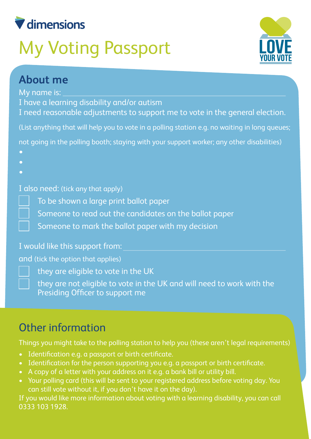

# My Voting Passport



### **About me**

My name is:

| I have a learning disability and/or autism<br>I need reasonable adjustments to support me to vote in the general election.                                                                  |
|---------------------------------------------------------------------------------------------------------------------------------------------------------------------------------------------|
| (List anything that will help you to vote in a polling station e.g. no waiting in long queues;                                                                                              |
| not going in the polling booth; staying with your support worker; any other disabilities)<br>$\bullet$<br>$\bullet$                                                                         |
| I also need: (tick any that apply)<br>To be shown a large print ballot paper<br>Someone to read out the candidates on the ballot paper<br>Someone to mark the ballot paper with my decision |
| I would like this support from:                                                                                                                                                             |
| and (tick the option that applies)                                                                                                                                                          |
| they are eligible to vote in the UK                                                                                                                                                         |
| they are not eligible to vote in the UK and will need to work with the                                                                                                                      |

 Presiding Officer to support me

## Other information

Things you might take to the polling station to help you (these aren't legal requirements)

- Identification e.g. a passport or birth certificate.
- Identification for the person supporting you e.g. a passport or birth certificate.
- A copy of a letter with your address on it e.g. a bank bill or utility bill.
- Your polling card (this will be sent to your registered address before voting day. You can still vote without it, if you don't have it on the day).

If you would like more information about voting with a learning disability, you can call 0333 103 1928.